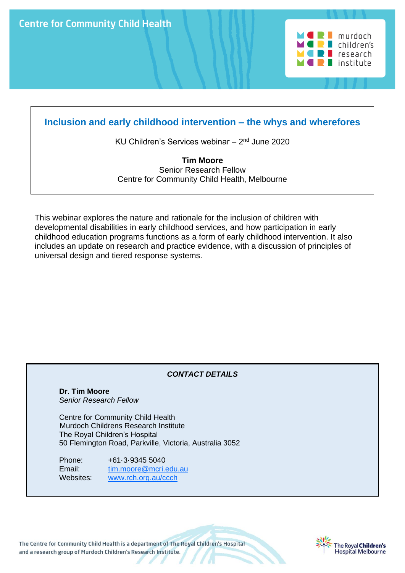**Centre for Community Child Health** 



# **Inclusion and early childhood intervention – the whys and wherefores**

KU Children's Services webinar - 2<sup>nd</sup> June 2020

**Tim Moore** Senior Research Fellow Centre for Community Child Health, Melbourne

This webinar explores the nature and rationale for the inclusion of children with developmental disabilities in early childhood services, and how participation in early childhood education programs functions as a form of early childhood intervention. It also includes an update on research and practice evidence, with a discussion of principles of universal design and tiered response systems.

# *CONTACT DETAILS*

 **Dr. Tim Moore** *Senior Research Fellow*

Centre for Community Child Health Murdoch Childrens Research Institute The Royal Children's Hospital 50 Flemington Road, Parkville, Victoria, Australia 3052

 Phone: +61·3·9345 5040 Email: [tim.moore@mcri.edu.au](mailto:mooret@cryptic.rch.unimelb.edu.au) Websites: [www.rch.org.au/ccch](http://www.rch.org.au/ccch)

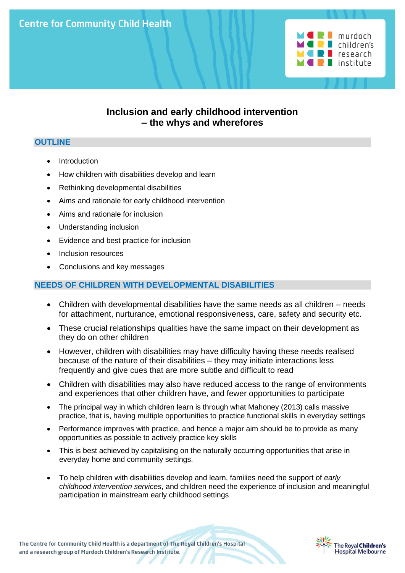

# **Inclusion and early childhood intervention – the whys and wherefores**

### **OUTLINE**

- **Introduction**
- How children with disabilities develop and learn
- Rethinking developmental disabilities
- Aims and rationale for early childhood intervention
- Aims and rationale for inclusion
- Understanding inclusion
- Evidence and best practice for inclusion
- Inclusion resources
- Conclusions and key messages

### **NEEDS OF CHILDREN WITH DEVELOPMENTAL DISABILITIES**

- Children with developmental disabilities have the same needs as all children needs for attachment, nurturance, emotional responsiveness, care, safety and security etc.
- These crucial relationships qualities have the same impact on their development as they do on other children
- However, children with disabilities may have difficulty having these needs realised because of the nature of their disabilities – they may initiate interactions less frequently and give cues that are more subtle and difficult to read
- Children with disabilities may also have reduced access to the range of environments and experiences that other children have, and fewer opportunities to participate
- The principal way in which children learn is through what Mahoney (2013) calls massive practice, that is, having multiple opportunities to practice functional skills in everyday settings
- Performance improves with practice, and hence a major aim should be to provide as many opportunities as possible to actively practice key skills
- This is best achieved by capitalising on the naturally occurring opportunities that arise in everyday home and community settings.
- To help children with disabilities develop and learn, families need the support of *early childhood intervention services*, and children need the experience of inclusion and meaningful participation in mainstream early childhood settings

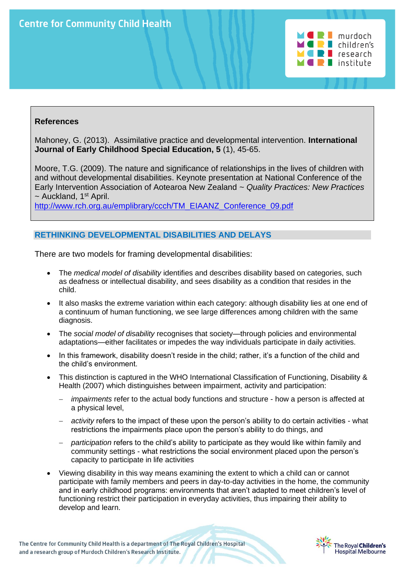

Mahoney, G. (2013). Assimilative practice and developmental intervention. **International Journal of Early Childhood Special Education, 5** (1), 45-65.

Moore, T.G. (2009). The nature and significance of relationships in the lives of children with and without developmental disabilities. Keynote presentation at National Conference of the Early Intervention Association of Aotearoa New Zealand ~ *Quality Practices: New Practices*  $\sim$  Auckland, 1<sup>st</sup> April.

[http://www.rch.org.au/emplibrary/ccch/TM\\_EIAANZ\\_Conference\\_09.pdf](http://www.rch.org.au/emplibrary/ccch/TM_EIAANZ_Conference_09.pdf)

# **RETHINKING DEVELOPMENTAL DISABILITIES AND DELAYS**

There are two models for framing developmental disabilities:

- The *medical model of disability* identifies and describes disability based on categories, such as deafness or intellectual disability, and sees disability as a condition that resides in the child.
- It also masks the extreme variation within each category: although disability lies at one end of a continuum of human functioning, we see large differences among children with the same diagnosis.
- The *social model of disability* recognises that society—through policies and environmental adaptations—either facilitates or impedes the way individuals participate in daily activities.
- In this framework, disability doesn't reside in the child; rather, it's a function of the child and the child's environment.
- This distinction is captured in the WHO International Classification of Functioning, Disability & Health (2007) which distinguishes between impairment, activity and participation:
	- *impairments* refer to the actual body functions and structure how a person is affected at a physical level,
	- − *activity* refers to the impact of these upon the person's ability to do certain activities what restrictions the impairments place upon the person's ability to do things, and
	- − *participation* refers to the child's ability to participate as they would like within family and community settings - what restrictions the social environment placed upon the person's capacity to participate in life activities
- Viewing disability in this way means examining the extent to which a child can or cannot participate with family members and peers in day-to-day activities in the home, the community and in early childhood programs: environments that aren't adapted to meet children's level of functioning restrict their participation in everyday activities, thus impairing their ability to develop and learn.

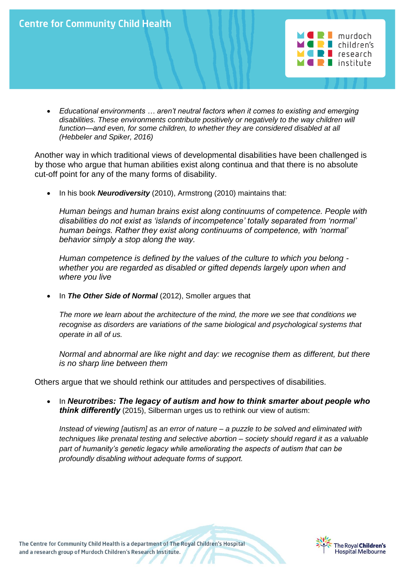

• *Educational environments … aren't neutral factors when it comes to existing and emerging disabilities. These environments contribute positively or negatively to the way children will function—and even, for some children, to whether they are considered disabled at all (Hebbeler and Spiker, 2016)* 

Another way in which traditional views of developmental disabilities have been challenged is by those who argue that human abilities exist along continua and that there is no absolute cut-off point for any of the many forms of disability.

• In his book *Neurodiversity* (2010), Armstrong (2010) maintains that:

*Human beings and human brains exist along continuums of competence. People with disabilities do not exist as 'islands of incompetence' totally separated from 'normal' human beings. Rather they exist along continuums of competence, with 'normal' behavior simply a stop along the way.* 

*Human competence is defined by the values of the culture to which you belong whether you are regarded as disabled or gifted depends largely upon when and where you live* 

• In *The Other Side of Normal* (2012), Smoller argues that

*The more we learn about the architecture of the mind, the more we see that conditions we recognise as disorders are variations of the same biological and psychological systems that operate in all of us.*

*Normal and abnormal are like night and day: we recognise them as different, but there is no sharp line between them*

Others argue that we should rethink our attitudes and perspectives of disabilities.

• In *Neurotribes: The legacy of autism and how to think smarter about people who think differently* (2015), Silberman urges us to rethink our view of autism:

*Instead of viewing [autism] as an error of nature – a puzzle to be solved and eliminated with techniques like prenatal testing and selective abortion – society should regard it as a valuable part of humanity's genetic legacy while ameliorating the aspects of autism that can be profoundly disabling without adequate forms of support.*

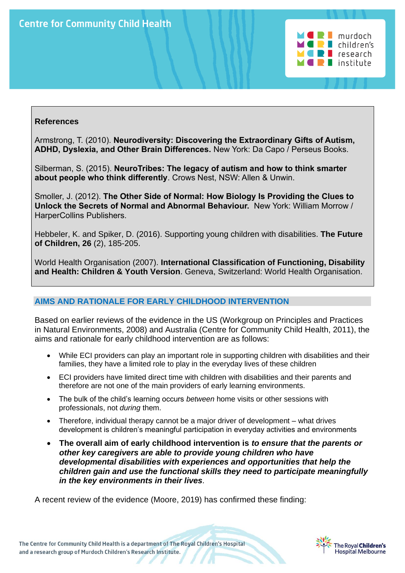

Armstrong, T. (2010). **Neurodiversity: Discovering the Extraordinary Gifts of Autism, ADHD, Dyslexia, and Other Brain Differences.** New York: Da Capo / Perseus Books.

Silberman, S. (2015). **NeuroTribes: The legacy of autism and how to think smarter about people who think differently**. Crows Nest, NSW: Allen & Unwin.

Smoller, J. (2012). **The Other Side of Normal: How Biology Is Providing the Clues to Unlock the Secrets of Normal and Abnormal Behaviour.** New York: William Morrow / HarperCollins Publishers.

Hebbeler, K. and Spiker, D. (2016). Supporting young children with disabilities. **The Future of Children, 26** (2), 185-205.

World Health Organisation (2007). **International Classification of Functioning, Disability and Health: Children & Youth Version**. Geneva, Switzerland: World Health Organisation.

# **AIMS AND RATIONALE FOR EARLY CHILDHOOD INTERVENTION**

Based on earlier reviews of the evidence in the US (Workgroup on Principles and Practices in Natural Environments, 2008) and Australia (Centre for Community Child Health, 2011), the aims and rationale for early childhood intervention are as follows:

- While ECI providers can play an important role in supporting children with disabilities and their families, they have a limited role to play in the everyday lives of these children
- ECI providers have limited direct time with children with disabilities and their parents and therefore are not one of the main providers of early learning environments.
- The bulk of the child's learning occurs *between* home visits or other sessions with professionals, not *during* them.
- Therefore, individual therapy cannot be a major driver of development what drives development is children's meaningful participation in everyday activities and environments
- **The overall aim of early childhood intervention is** *to ensure that the parents or other key caregivers are able to provide young children who have developmental disabilities with experiences and opportunities that help the children gain and use the functional skills they need to participate meaningfully in the key environments in their lives.*

A recent review of the evidence (Moore, 2019) has confirmed these finding:

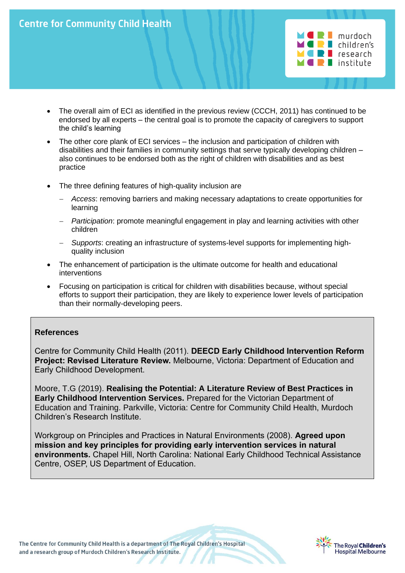

- The overall aim of ECI as identified in the previous review (CCCH, 2011) has continued to be endorsed by all experts – the central goal is to promote the capacity of caregivers to support the child's learning
	- The other core plank of ECI services the inclusion and participation of children with disabilities and their families in community settings that serve typically developing children – also continues to be endorsed both as the right of children with disabilities and as best practice
	- The three defining features of high-quality inclusion are
		- − *Access*: removing barriers and making necessary adaptations to create opportunities for learning
		- − *Participation*: promote meaningful engagement in play and learning activities with other children
		- − *Supports*: creating an infrastructure of systems-level supports for implementing highquality inclusion
	- The enhancement of participation is the ultimate outcome for health and educational interventions
	- Focusing on participation is critical for children with disabilities because, without special efforts to support their participation, they are likely to experience lower levels of participation than their normally-developing peers.

Centre for Community Child Health (2011). **DEECD Early Childhood Intervention Reform Project: Revised Literature Review.** Melbourne, Victoria: Department of Education and Early Childhood Development.

Moore, T.G (2019). **Realising the Potential: A Literature Review of Best Practices in Early Childhood Intervention Services.** Prepared for the Victorian Department of Education and Training. Parkville, Victoria: Centre for Community Child Health, Murdoch Children's Research Institute.

Workgroup on Principles and Practices in Natural Environments (2008). **Agreed upon mission and key principles for providing early intervention services in natural environments.** Chapel Hill, North Carolina: National Early Childhood Technical Assistance Centre, OSEP, US Department of Education.

The Centre for Community Child Health is a department of The Royal Children's Hospital and a research group of Murdoch Children's Research Institute.



 $\blacksquare$  murdoch  $\blacksquare$  children's  $\blacksquare$  research lackitute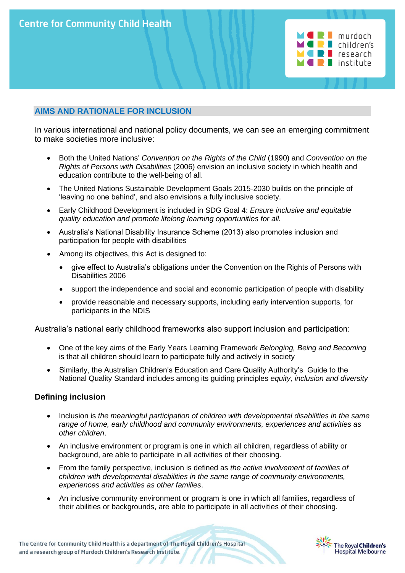

### **AIMS AND RATIONALE FOR INCLUSION**

In various international and national policy documents, we can see an emerging commitment to make societies more inclusive:

- Both the United Nations' *Convention on the Rights of the Child* (1990) and *Convention on the Rights of Persons with Disabilities* (2006) envision an inclusive society in which health and education contribute to the well-being of all.
- The United Nations Sustainable Development Goals 2015-2030 builds on the principle of 'leaving no one behind', and also envisions a fully inclusive society.
- Early Childhood Development is included in SDG Goal 4: *Ensure inclusive and equitable quality education and promote lifelong learning opportunities for all.*
- Australia's National Disability Insurance Scheme (2013) also promotes inclusion and participation for people with disabilities
- Among its objectives, this Act is designed to:
	- give effect to Australia's obligations under the Convention on the Rights of Persons with Disabilities 2006
	- support the independence and social and economic participation of people with disability
	- provide reasonable and necessary supports, including early intervention supports, for participants in the NDIS

Australia's national early childhood frameworks also support inclusion and participation:

- One of the key aims of the Early Years Learning Framework *Belonging, Being and Becoming* is that all children should learn to participate fully and actively in society
- Similarly, the Australian Children's Education and Care Quality Authority's Guide to the National Quality Standard includes among its guiding principles *equity, inclusion and diversity*

#### **Defining inclusion**

- Inclusion is *the meaningful participation of children with developmental disabilities in the same range of home, early childhood and community environments, experiences and activities as other children*.
- An inclusive environment or program is one in which all children, regardless of ability or background, are able to participate in all activities of their choosing.
- From the family perspective, inclusion is defined as *the active involvement of families of children with developmental disabilities in the same range of community environments, experiences and activities as other families*.
- An inclusive community environment or program is one in which all families, regardless of their abilities or backgrounds, are able to participate in all activities of their choosing.

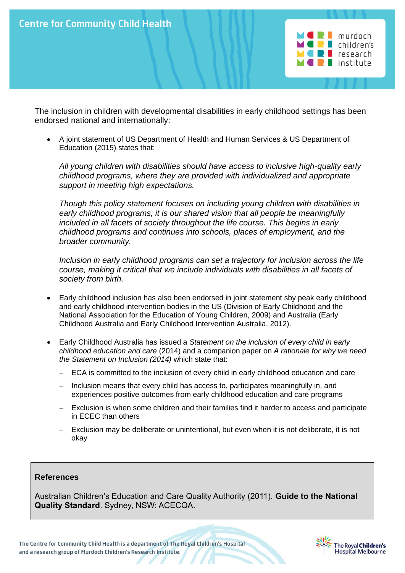

The inclusion in children with developmental disabilities in early childhood settings has been endorsed national and internationally:

• A joint statement of US Department of Health and Human Services & US Department of Education (2015) states that:

*All young children with disabilities should have access to inclusive high-quality early childhood programs, where they are provided with individualized and appropriate support in meeting high expectations.* 

*Though this policy statement focuses on including young children with disabilities in early childhood programs, it is our shared vision that all people be meaningfully included in all facets of society throughout the life course. This begins in early childhood programs and continues into schools, places of employment, and the broader community.* 

*Inclusion in early childhood programs can set a trajectory for inclusion across the life course, making it critical that we include individuals with disabilities in all facets of society from birth.*

- Early childhood inclusion has also been endorsed in joint statement sby peak early childhood and early childhood intervention bodies in the US (Division of Early Childhood and the National Association for the Education of Young Children, 2009) and Australia (Early Childhood Australia and Early Childhood Intervention Australia, 2012).
- Early Childhood Australia has issued a *Statement on the inclusion of every child in early childhood education and care* (2014) and a companion paper on *A rationale for why we need the Statement on Inclusion (2014)* which state that:
	- ECA is committed to the inclusion of every child in early childhood education and care
	- − Inclusion means that every child has access to, participates meaningfully in, and experiences positive outcomes from early childhood education and care programs
	- − Exclusion is when some children and their families find it harder to access and participate in ECEC than others
	- − Exclusion may be deliberate or unintentional, but even when it is not deliberate, it is not okay

#### **References**

Australian Children's Education and Care Quality Authority (2011). **Guide to the National Quality Standard**. Sydney, NSW: ACECQA.

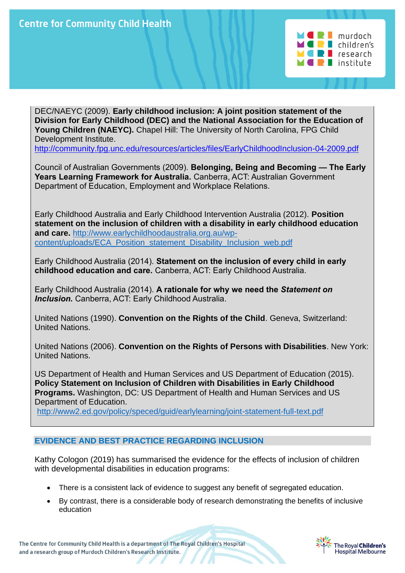

DEC/NAEYC (2009). **Early childhood inclusion: A joint position statement of the Division for Early Childhood (DEC) and the National Association for the Education of Young Children (NAEYC).** Chapel Hill: The University of North Carolina, FPG Child Development Institute.

<http://community.fpg.unc.edu/resources/articles/files/EarlyChildhoodInclusion-04-2009.pdf>

Council of Australian Governments (2009). **Belonging, Being and Becoming — The Early Years Learning Framework for Australia.** Canberra, ACT: Australian Government Department of Education, Employment and Workplace Relations.

Early Childhood Australia and Early Childhood Intervention Australia (2012). **Position statement on the inclusion of children with a disability in early childhood education and care.** [http://www.earlychildhoodaustralia.org.au/wp](http://www.earlychildhoodaustralia.org.au/wp-content/uploads/ECA_Position_statement_Disability_Inclusion_web.pdf)[content/uploads/ECA\\_Position\\_statement\\_Disability\\_Inclusion\\_web.pdf](http://www.earlychildhoodaustralia.org.au/wp-content/uploads/ECA_Position_statement_Disability_Inclusion_web.pdf)

Early Childhood Australia (2014). **Statement on the inclusion of every child in early childhood education and care.** Canberra, ACT: Early Childhood Australia.

Early Childhood Australia (2014). **A rationale for why we need the** *Statement on Inclusion.* Canberra, ACT: Early Childhood Australia.

United Nations (1990). **Convention on the Rights of the Child**. Geneva, Switzerland: United Nations.

United Nations (2006). **Convention on the Rights of Persons with Disabilities**. New York: United Nations.

US Department of Health and Human Services and US Department of Education (2015). **Policy Statement on Inclusion of Children with Disabilities in Early Childhood Programs.** Washington, DC: US Department of Health and Human Services and US Department of Education.

<http://www2.ed.gov/policy/speced/guid/earlylearning/joint-statement-full-text.pdf>

#### **EVIDENCE AND BEST PRACTICE REGARDING INCLUSION**

Kathy Cologon (2019) has summarised the evidence for the effects of inclusion of children with developmental disabilities in education programs:

- There is a consistent lack of evidence to suggest any benefit of segregated education.
- By contrast, there is a considerable body of research demonstrating the benefits of inclusive education

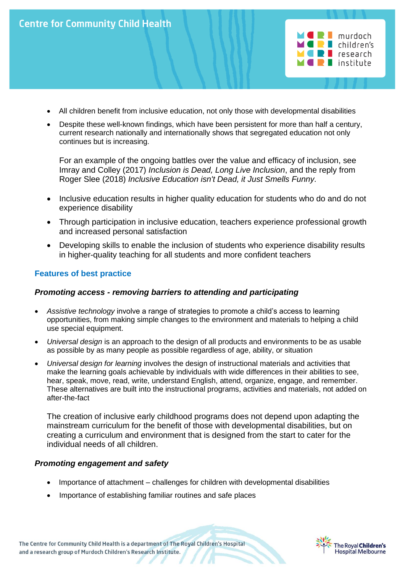



- All children benefit from inclusive education, not only those with developmental disabilities
- Despite these well-known findings, which have been persistent for more than half a century, current research nationally and internationally shows that segregated education not only continues but is increasing.

For an example of the ongoing battles over the value and efficacy of inclusion, see Imray and Colley (2017) *Inclusion is Dead, Long Live Inclusion*, and the reply from Roger Slee (2018) *Inclusive Education isn't Dead, it Just Smells Funny.*

- Inclusive education results in higher quality education for students who do and do not experience disability
- Through participation in inclusive education, teachers experience professional growth and increased personal satisfaction
- Developing skills to enable the inclusion of students who experience disability results in higher-quality teaching for all students and more confident teachers

### **Features of best practice**

#### *Promoting access - removing barriers to attending and participating*

- *Assistive technology* involve a range of strategies to promote a child's access to learning opportunities, from making simple changes to the environment and materials to helping a child use special equipment.
- *Universal design* is an approach to the design of all products and environments to be as usable as possible by as many people as possible regardless of age, ability, or situation
- *Universal design for learning* involves the design of instructional materials and activities that make the learning goals achievable by individuals with wide differences in their abilities to see, hear, speak, move, read, write, understand English, attend, organize, engage, and remember. These alternatives are built into the instructional programs, activities and materials, not added on after-the-fact

The creation of inclusive early childhood programs does not depend upon adapting the mainstream curriculum for the benefit of those with developmental disabilities, but on creating a curriculum and environment that is designed from the start to cater for the individual needs of all children.

#### *Promoting engagement and safety*

- Importance of attachment challenges for children with developmental disabilities
- Importance of establishing familiar routines and safe places

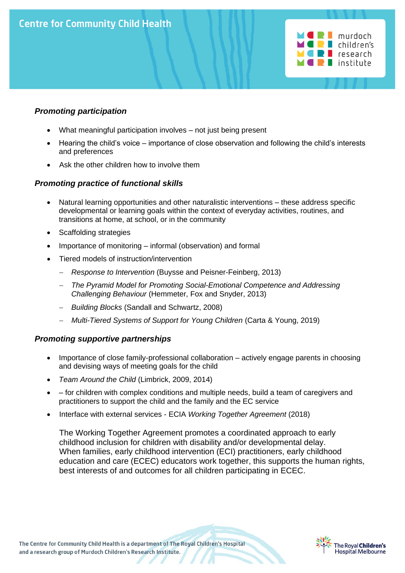

### *Promoting participation*

- What meaningful participation involves not just being present
- Hearing the child's voice importance of close observation and following the child's interests and preferences
- Ask the other children how to involve them

### *Promoting practice of functional skills*

- Natural learning opportunities and other naturalistic interventions these address specific developmental or learning goals within the context of everyday activities, routines, and transitions at home, at school, or in the community
- Scaffolding strategies
- Importance of monitoring informal (observation) and formal
- Tiered models of instruction/intervention
	- − *Response to Intervention* (Buysse and Peisner-Feinberg, 2013)
	- − *The Pyramid Model for Promoting Social-Emotional Competence and Addressing Challenging Behaviour* (Hemmeter, Fox and Snyder, 2013)
	- − *Building Blocks* (Sandall and Schwartz, 2008)
	- − *Multi-Tiered Systems of Support for Young Children* (Carta & Young, 2019)

#### *Promoting supportive partnerships*

- Importance of close family-professional collaboration actively engage parents in choosing and devising ways of meeting goals for the child
- *Team Around the Child* (Limbrick, 2009, 2014)
- – for children with complex conditions and multiple needs, build a team of caregivers and practitioners to support the child and the family and the EC service
- Interface with external services ECIA *Working Together Agreement* (2018)

The Working Together Agreement promotes a coordinated approach to early childhood inclusion for children with disability and/or developmental delay. When families, early childhood intervention (ECI) practitioners, early childhood education and care (ECEC) educators work together, this supports the human rights, best interests of and outcomes for all children participating in ECEC.

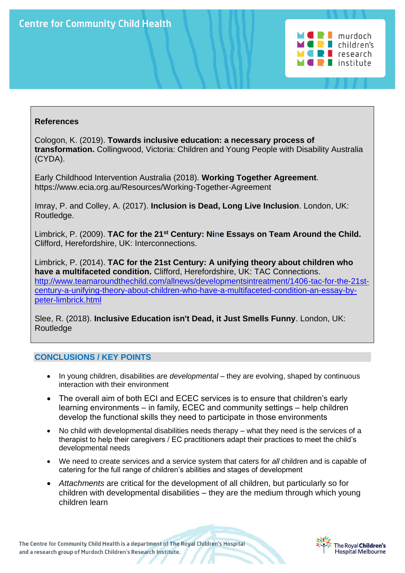

Cologon, K. (2019). **Towards inclusive education: a necessary process of transformation.** Collingwood, Victoria: Children and Young People with Disability Australia (CYDA).

Early Childhood Intervention Australia (2018). **Working Together Agreement**. https://www.ecia.org.au/Resources/Working-Together-Agreement

Imray, P. and Colley, A. (2017). **Inclusion is Dead, Long Live Inclusion**. London, UK: Routledge.

Limbrick, P. (2009). **TAC for the 21st Century: Nine Essays on Team Around the Child.** Clifford, Herefordshire, UK: Interconnections.

Limbrick, P. (2014). **TAC for the 21st Century: A unifying theory about children who have a multifaceted condition.** Clifford, Herefordshire, UK: TAC Connections. [http://www.teamaroundthechild.com/allnews/developmentsintreatment/1406-tac-for-the-21st](http://www.teamaroundthechild.com/allnews/developmentsintreatment/1406-tac-for-the-21st-century-a-unifying-theory-about-children-who-have-a-multifaceted-condition-an-essay-by-peter-limbrick.html)[century-a-unifying-theory-about-children-who-have-a-multifaceted-condition-an-essay-by](http://www.teamaroundthechild.com/allnews/developmentsintreatment/1406-tac-for-the-21st-century-a-unifying-theory-about-children-who-have-a-multifaceted-condition-an-essay-by-peter-limbrick.html)[peter-limbrick.html](http://www.teamaroundthechild.com/allnews/developmentsintreatment/1406-tac-for-the-21st-century-a-unifying-theory-about-children-who-have-a-multifaceted-condition-an-essay-by-peter-limbrick.html)

Slee, R. (2018). **Inclusive Education isn't Dead, it Just Smells Funny**. London, UK: **Routledge** 

# **CONCLUSIONS / KEY POINTS**

- In young children, disabilities are *developmental*  they are evolving, shaped by continuous interaction with their environment
- The overall aim of both ECI and ECEC services is to ensure that children's early learning environments – in family, ECEC and community settings – help children develop the functional skills they need to participate in those environments
- No child with developmental disabilities needs therapy what they need is the services of a therapist to help their caregivers / EC practitioners adapt their practices to meet the child's developmental needs
- We need to create services and a service system that caters for *all* children and is capable of catering for the full range of children's abilities and stages of development
- *Attachments* are critical for the development of all children, but particularly so for children with developmental disabilities – they are the medium through which young children learn

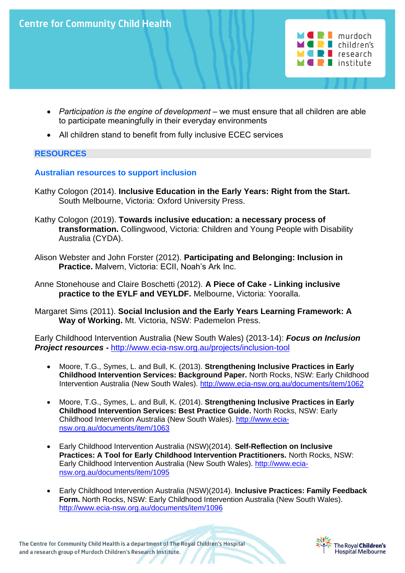

- *Participation is the engine of development* we must ensure that all children are able to participate meaningfully in their everyday environments
- All children stand to benefit from fully inclusive ECEC services

# **RESOURCES**

### **Australian resources to support inclusion**

- Kathy Cologon (2014). **Inclusive Education in the Early Years: Right from the Start.**  South Melbourne, Victoria: Oxford University Press.
- Kathy Cologon (2019). **Towards inclusive education: a necessary process of transformation.** Collingwood, Victoria: Children and Young People with Disability Australia (CYDA).
- Alison Webster and John Forster (2012). **Participating and Belonging: Inclusion in Practice.** Malvern, Victoria: ECII, Noah's Ark Inc.

Anne Stonehouse and Claire Boschetti (2012). **A Piece of Cake - Linking inclusive practice to the EYLF and VEYLDF.** Melbourne, Victoria: Yooralla.

Margaret Sims (2011). **Social Inclusion and the Early Years Learning Framework: A Way of Working.** Mt. Victoria, NSW: Pademelon Press.

Early Childhood Intervention Australia (New South Wales) (2013-14): *Focus on Inclusion Project resources -* <http://www.ecia-nsw.org.au/projects/inclusion-tool>

- Moore, T.G., Symes, L. and Bull, K. (2013). **Strengthening Inclusive Practices in Early Childhood Intervention Services: Background Paper.** North Rocks, NSW: Early Childhood Intervention Australia (New South Wales).<http://www.ecia-nsw.org.au/documents/item/1062>
- Moore, T.G., Symes, L. and Bull, K. (2014). **Strengthening Inclusive Practices in Early Childhood Intervention Services: Best Practice Guide.** North Rocks, NSW: Early Childhood Intervention Australia (New South Wales). [http://www.ecia](http://www.ecia-nsw.org.au/documents/item/1063)[nsw.org.au/documents/item/1063](http://www.ecia-nsw.org.au/documents/item/1063)
- Early Childhood Intervention Australia (NSW)(2014). **Self-Reflection on Inclusive Practices: A Tool for Early Childhood Intervention Practitioners.** North Rocks, NSW: Early Childhood Intervention Australia (New South Wales). [http://www.ecia](http://www.ecia-nsw.org.au/documents/item/1095)[nsw.org.au/documents/item/1095](http://www.ecia-nsw.org.au/documents/item/1095)
- Early Childhood Intervention Australia (NSW)(2014). **Inclusive Practices: Family Feedback Form.** North Rocks, NSW: Early Childhood Intervention Australia (New South Wales). <http://www.ecia-nsw.org.au/documents/item/1096>

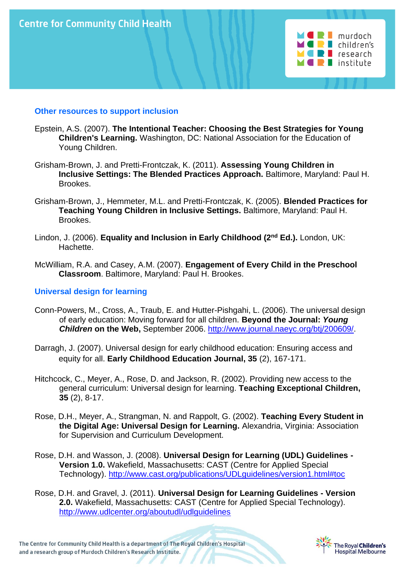

#### **Other resources to support inclusion**

- Epstein, A.S. (2007). **The Intentional Teacher: Choosing the Best Strategies for Young Children's Learning.** Washington, DC: National Association for the Education of Young Children.
- Grisham-Brown, J. and Pretti-Frontczak, K. (2011). **Assessing Young Children in Inclusive Settings: The Blended Practices Approach.** Baltimore, Maryland: Paul H. Brookes.
- Grisham-Brown, J., Hemmeter, M.L. and Pretti-Frontczak, K. (2005). **Blended Practices for Teaching Young Children in Inclusive Settings.** Baltimore, Maryland: Paul H. Brookes.
- Lindon, J. (2006). **Equality and Inclusion in Early Childhood (2nd Ed.).** London, UK: Hachette.
- McWilliam, R.A. and Casey, A.M. (2007). **Engagement of Every Child in the Preschool Classroom**. Baltimore, Maryland: Paul H. Brookes.

#### **Universal design for learning**

- Conn-Powers, M., Cross, A., Traub, E. and Hutter-Pishgahi, L. (2006). The universal design of early education: Moving forward for all children. **Beyond the Journal:** *Young Children* **on the Web,** September 2006. [http://www.journal.naeyc.org/btj/200609/.](http://www.journal.naeyc.org/btj/200609/)
- Darragh, J. (2007). Universal design for early childhood education: Ensuring access and equity for all. **Early Childhood Education Journal, 35** (2), 167-171.
- Hitchcock, C., Meyer, A., Rose, D. and Jackson, R. (2002). Providing new access to the general curriculum: Universal design for learning. **Teaching Exceptional Children, 35** (2), 8-17.
- Rose, D.H., Meyer, A., Strangman, N. and Rappolt, G. (2002). **Teaching Every Student in the Digital Age: Universal Design for Learning.** Alexandria, Virginia: Association for Supervision and Curriculum Development.
- Rose, D.H. and Wasson, J. (2008). **Universal Design for Learning (UDL) Guidelines - Version 1.0.** Wakefield, Massachusetts: CAST (Centre for Applied Special Technology). <http://www.cast.org/publications/UDLguidelines/version1.html#toc>
- Rose, D.H. and Gravel, J. (2011). **Universal Design for Learning Guidelines - Version 2.0.** Wakefield, Massachusetts: CAST (Centre for Applied Special Technology). http://www.udlcenter.org/aboutudl/udlquidelines